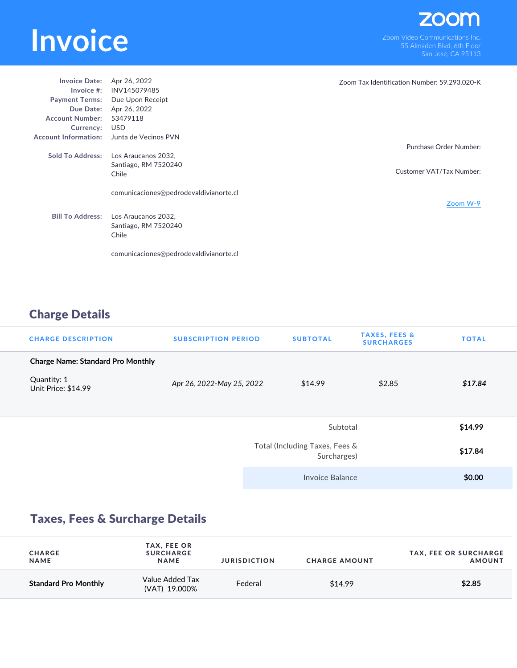## **INVOICE**<br>
Som Video Communications Inc.<br>
San Jose CA 95113

| <b>Invoice Date:</b>        | Apr 26, 2022                           | Zoom Tax Identification Number: 59.293.020-K |
|-----------------------------|----------------------------------------|----------------------------------------------|
| Invoice $#$ :               | INV145079485                           |                                              |
|                             | Payment Terms: Due Upon Receipt        |                                              |
| Due Date:                   | Apr 26, 2022                           |                                              |
| <b>Account Number:</b>      | 53479118                               |                                              |
| Currency:                   | <b>USD</b>                             |                                              |
| <b>Account Information:</b> | Junta de Vecinos PVN                   |                                              |
|                             |                                        | Purchase Order Number:                       |
| <b>Sold To Address:</b>     | Los Araucanos 2032,                    |                                              |
|                             | Santiago, RM 7520240                   |                                              |
|                             | Chile                                  | Customer VAT/Tax Number:                     |
|                             |                                        |                                              |
|                             | comunicaciones@pedrodevaldivianorte.cl |                                              |
|                             |                                        | Zoom W-9                                     |
| <b>Bill To Address:</b>     | Los Araucanos 2032,                    |                                              |
|                             | Santiago, RM 7520240                   |                                              |
|                             | Chile                                  |                                              |
|                             |                                        |                                              |
|                             |                                        |                                              |
|                             | comunicaciones@pedrodevaldivianorte.cl |                                              |

## Charge Details

| <b>CHARGE DESCRIPTION</b>                | <b>SUBSCRIPTION PERIOD</b> | <b>SUBTOTAL</b>                               | <b>TAXES, FEES &amp;</b><br><b>SURCHARGES</b> | <b>TOTAL</b> |
|------------------------------------------|----------------------------|-----------------------------------------------|-----------------------------------------------|--------------|
| <b>Charge Name: Standard Pro Monthly</b> |                            |                                               |                                               |              |
| Quantity: 1<br>Unit Price: \$14.99       | Apr 26, 2022-May 25, 2022  | \$14.99                                       | \$2.85                                        | \$17.84      |
|                                          |                            | Subtotal                                      |                                               | \$14.99      |
|                                          |                            | Total (Including Taxes, Fees &<br>Surcharges) |                                               |              |
|                                          |                            | Invoice Balance                               |                                               | \$0.00       |

## Taxes, Fees & Surcharge Details

| <b>CHARGE</b><br><b>NAME</b> | <b>TAX, FEE OR</b><br><b>SURCHARGE</b><br><b>NAME</b> | <b>JURISDICTION</b> | <b>CHARGE AMOUNT</b> | <b>TAX, FEE OR SURCHARGE</b><br><b>AMOUNT</b> |
|------------------------------|-------------------------------------------------------|---------------------|----------------------|-----------------------------------------------|
| <b>Standard Pro Monthly</b>  | Value Added Tax<br>(VAT) 19.000%                      | Federal             | \$14.99              | \$2.85                                        |